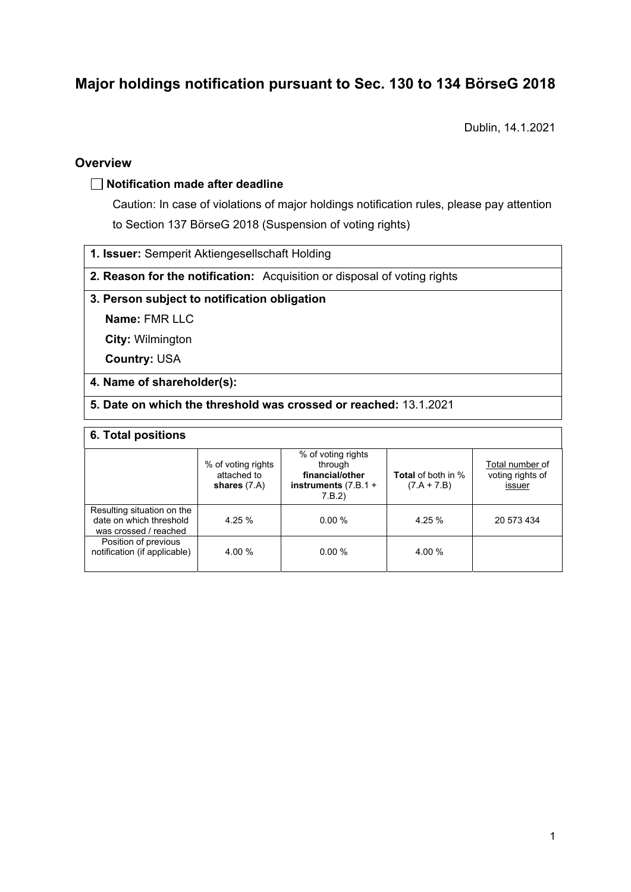# **Major holdings notification pursuant to Sec. 130 to 134 BörseG 2018**

Dublin, 14.1.2021

### **Overview**

### **Notification made after deadline**

Caution: In case of violations of major holdings notification rules, please pay attention to Section 137 BörseG 2018 (Suspension of voting rights)

- **1. Issuer:** Semperit Aktiengesellschaft Holding
- **2. Reason for the notification:** Acquisition or disposal of voting rights

### **3. Person subject to notification obligation**

**Name:** FMR LLC

**City:** Wilmington

**Country:** USA

### **4. Name of shareholder(s):**

**5. Date on which the threshold was crossed or reached:** 13.1.2021

#### **6. Total positions**

|                                                                                | % of voting rights<br>attached to<br>shares $(7.A)$ | % of voting rights<br>through<br>financial/other<br>instruments $(7.B.1 +$<br>7.B.2) | <b>Total</b> of both in %<br>$(7.A + 7.B)$ | Total number of<br>voting rights of<br>issuer |  |  |
|--------------------------------------------------------------------------------|-----------------------------------------------------|--------------------------------------------------------------------------------------|--------------------------------------------|-----------------------------------------------|--|--|
| Resulting situation on the<br>date on which threshold<br>was crossed / reached | 4.25%                                               | $0.00\%$                                                                             | 4.25 %                                     | 20 573 434                                    |  |  |
| Position of previous<br>notification (if applicable)                           | 4.00 %                                              | 0.00%                                                                                | 4.00 %                                     |                                               |  |  |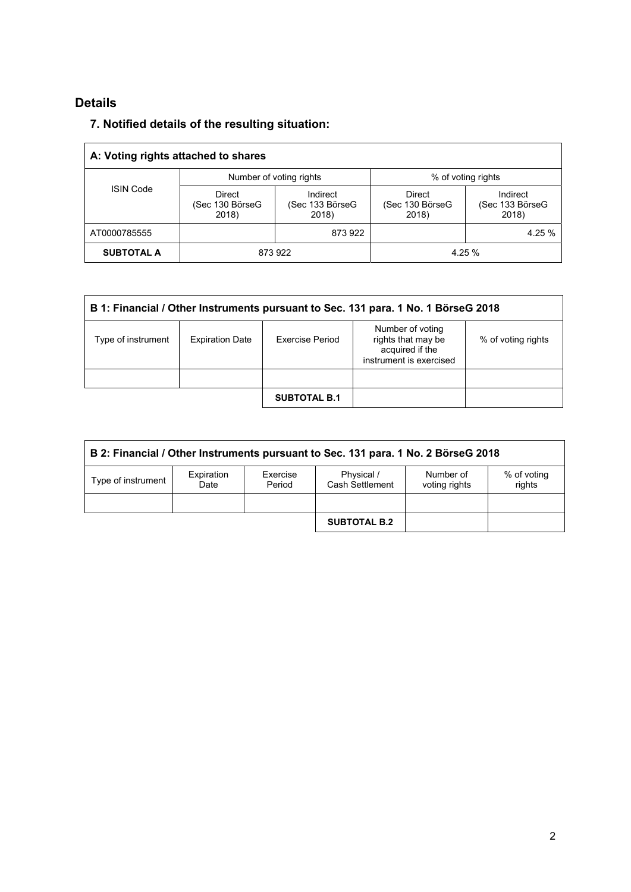# **Details**

# **7. Notified details of the resulting situation:**

| A: Voting rights attached to shares |                                           |                                      |                                    |                                      |  |
|-------------------------------------|-------------------------------------------|--------------------------------------|------------------------------------|--------------------------------------|--|
|                                     |                                           | Number of voting rights              | % of voting rights                 |                                      |  |
| <b>ISIN Code</b>                    | <b>Direct</b><br>(Sec 130 BörseG<br>2018) | Indirect<br>(Sec 133 BörseG<br>2018) | Direct<br>(Sec 130 BörseG<br>2018) | Indirect<br>(Sec 133 BörseG<br>2018) |  |
| AT0000785555                        |                                           | 873922                               |                                    | 4.25 %                               |  |
| <b>SUBTOTAL A</b>                   | 873922                                    |                                      | 4.25 %                             |                                      |  |

| B 1: Financial / Other Instruments pursuant to Sec. 131 para. 1 No. 1 BörseG 2018 |                        |                        |                                                                                      |                    |  |
|-----------------------------------------------------------------------------------|------------------------|------------------------|--------------------------------------------------------------------------------------|--------------------|--|
| Type of instrument                                                                | <b>Expiration Date</b> | <b>Exercise Period</b> | Number of voting<br>rights that may be<br>acquired if the<br>instrument is exercised | % of voting rights |  |
|                                                                                   |                        |                        |                                                                                      |                    |  |
|                                                                                   |                        | <b>SUBTOTAL B.1</b>    |                                                                                      |                    |  |

| B 2: Financial / Other Instruments pursuant to Sec. 131 para. 1 No. 2 BörseG 2018 |                    |                    |                               |                            |                       |
|-----------------------------------------------------------------------------------|--------------------|--------------------|-------------------------------|----------------------------|-----------------------|
| Type of instrument                                                                | Expiration<br>Date | Exercise<br>Period | Physical /<br>Cash Settlement | Number of<br>voting rights | % of voting<br>rights |
|                                                                                   |                    |                    |                               |                            |                       |
|                                                                                   |                    |                    | <b>SUBTOTAL B.2</b>           |                            |                       |